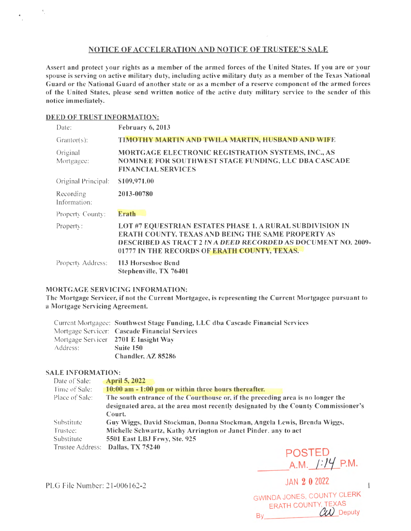## NOTICE OF ACCELERATION AND NOTICE OF TRUSTEE'S SALE

Assert and protect your rights as a member of the armed forces of the United States. If you are or your spouse is serving on active military duty, including active military duty as a mem her of the Texas National Guard or the National Guard of another state or as a member of a reserve component of the armed forces of the United States, please send written notice of the active duty military service to the sender of this notice immediately.

## DEED OF TRUST INFORMATION:

| Date:                     | February 6, 2013                                                                                                                                                                                                                               |
|---------------------------|------------------------------------------------------------------------------------------------------------------------------------------------------------------------------------------------------------------------------------------------|
| $Grantor(s)$ :            | TIMOTHY MARTIN AND TWILA MARTIN, HUSBAND AND WIFE                                                                                                                                                                                              |
| Original<br>Mortgagee:    | MORTGAGE ELECTRONIC REGISTRATION SYSTEMS, INC., AS<br>NOMINEE FOR SOUTHWEST STAGE FUNDING, LLC DBA CASCADE<br><b>FINANCIAL SERVICES</b>                                                                                                        |
| Original Principal:       | \$109,971.00                                                                                                                                                                                                                                   |
| Recording<br>Information: | 2013-00780                                                                                                                                                                                                                                     |
| Property County:          | <b>Erath</b>                                                                                                                                                                                                                                   |
| Property:                 | LOT #7 EQUESTRIAN ESTATES PHASE 1, A RURAL SUBDIVISION IN<br><b>ERATH COUNTY, TEXAS AND BEING THE SAME PROPERTY AS</b><br><b>DESCRIBED AS TRACT 2 IN A DEED RECORDED AS DOCUMENT NO. 2009-</b><br>01777 IN THE RECORDS OF ERATH COUNTY, TEXAS. |
| Property Address:         | 113 Horseshoe Bend<br>Stephenville, TX 76401                                                                                                                                                                                                   |

## MORTGAGE SERVICING INFORMATION:

The Mortgage Servicer, if not the Current Mortgagee, is representing the Current Mortgagee pursuant to a Mortgage Servicing Agreement.

|          | Current Mortgagee: Southwest Stage Funding, LLC dba Cascade Financial Services |
|----------|--------------------------------------------------------------------------------|
|          | Mortgage Servicer: Cascade Financial Services                                  |
|          | Mortgage Servicer 2701 E Insight Way                                           |
| Address: | Suite 150                                                                      |
|          | Chandler, AZ 85286                                                             |

## SALE INFORMATION:

| Date of Sale:     | <b>April 5, 2022</b>                                                               |
|-------------------|------------------------------------------------------------------------------------|
| Time of Sale:     | 10:00 am - 1:00 pm or within three hours thereafter.                               |
| Place of Sale:    | The south entrance of the Courthouse or, if the preceding area is no longer the    |
|                   | designated area, at the area most recently designated by the County Commissioner's |
|                   | Court.                                                                             |
| <b>Substitute</b> | Guy Wiggs, David Stockman, Donna Stockman, Angela Lewis, Brenda Wiggs,             |
| Trustee:          | Michelle Schwartz, Kathy Arrington or Janet Pinder, any to act                     |
| Substitute        | 5501 East LBJ Frwy, Ste. 925                                                       |
|                   | Trustee Address: Dallas, TX 75240<br><b>POSTED</b>                                 |

 $A.M. 1:14 P.M.$ 

 $\mathbf{1}$ 

PLG File Number: 21-006162-2 JAN 2 0 2022

GWINDA JONES, COUNTY CLERK ERATH COUNTY, TEXAS  $\alpha$  Deputy